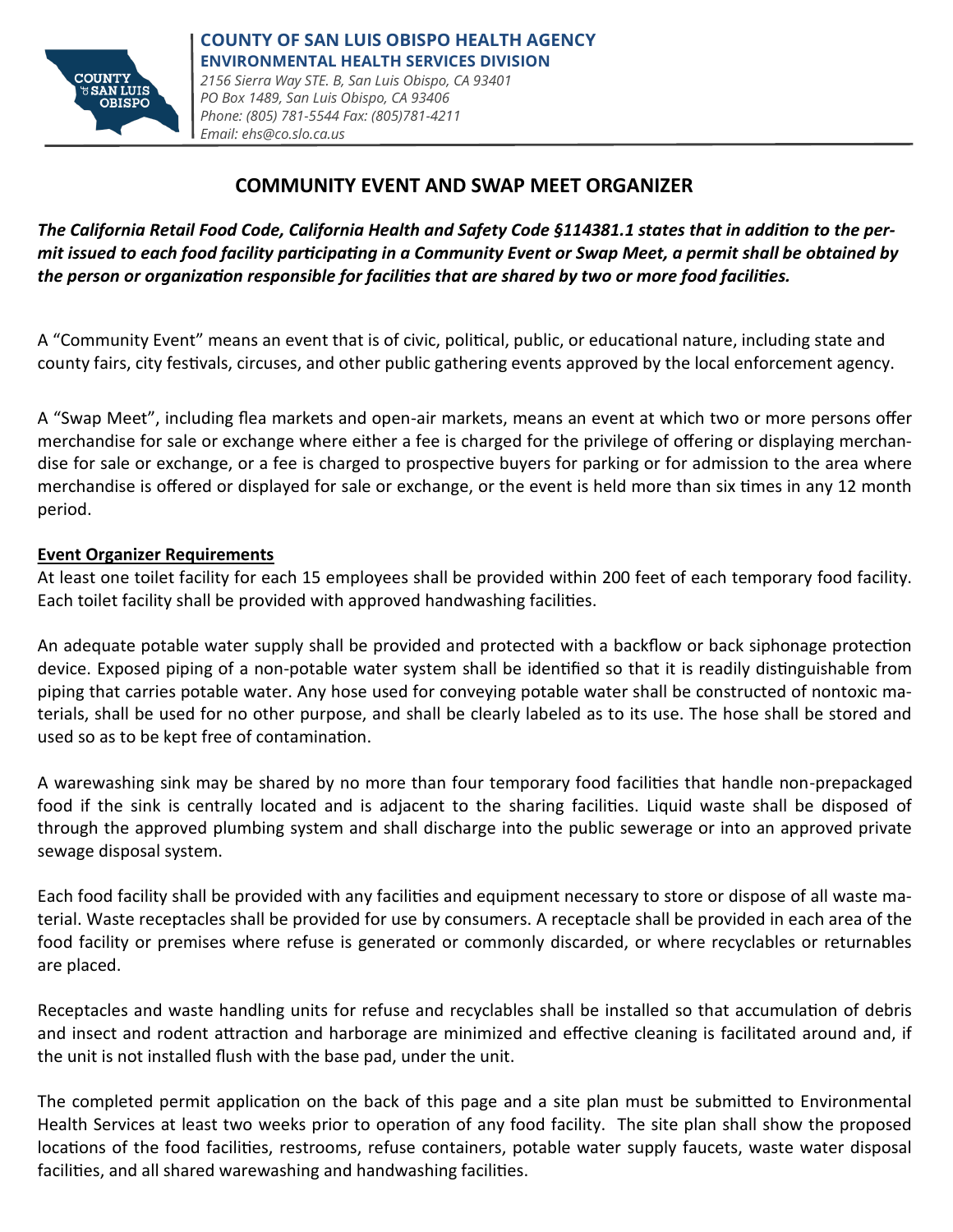

# **COMMUNITY EVENT AND SWAP MEET ORGANIZER**

*The California Retail Food Code, California Health and Safety Code §114381.1 states that in addition to the permit issued to each food facility participating in a Community Event or Swap Meet, a permit shall be obtained by the person or organization responsible for facilities that are shared by two or more food facilities.* 

A "Community Event" means an event that is of civic, political, public, or educational nature, including state and county fairs, city festivals, circuses, and other public gathering events approved by the local enforcement agency.

A "Swap Meet", including flea markets and open-air markets, means an event at which two or more persons offer merchandise for sale or exchange where either a fee is charged for the privilege of offering or displaying merchandise for sale or exchange, or a fee is charged to prospective buyers for parking or for admission to the area where merchandise is offered or displayed for sale or exchange, or the event is held more than six times in any 12 month period.

#### **Event Organizer Requirements**

At least one toilet facility for each 15 employees shall be provided within 200 feet of each temporary food facility. Each toilet facility shall be provided with approved handwashing facilities.

An adequate potable water supply shall be provided and protected with a backflow or back siphonage protection device. Exposed piping of a non-potable water system shall be identified so that it is readily distinguishable from piping that carries potable water. Any hose used for conveying potable water shall be constructed of nontoxic materials, shall be used for no other purpose, and shall be clearly labeled as to its use. The hose shall be stored and used so as to be kept free of contamination.

A warewashing sink may be shared by no more than four temporary food facilities that handle non-prepackaged food if the sink is centrally located and is adjacent to the sharing facilities. Liquid waste shall be disposed of through the approved plumbing system and shall discharge into the public sewerage or into an approved private sewage disposal system.

Each food facility shall be provided with any facilities and equipment necessary to store or dispose of all waste material. Waste receptacles shall be provided for use by consumers. A receptacle shall be provided in each area of the food facility or premises where refuse is generated or commonly discarded, or where recyclables or returnables are placed.

Receptacles and waste handling units for refuse and recyclables shall be installed so that accumulation of debris and insect and rodent attraction and harborage are minimized and effective cleaning is facilitated around and, if the unit is not installed flush with the base pad, under the unit.

The completed permit application on the back of this page and a site plan must be submitted to Environmental Health Services at least two weeks prior to operation of any food facility. The site plan shall show the proposed locations of the food facilities, restrooms, refuse containers, potable water supply faucets, waste water disposal facilities, and all shared warewashing and handwashing facilities.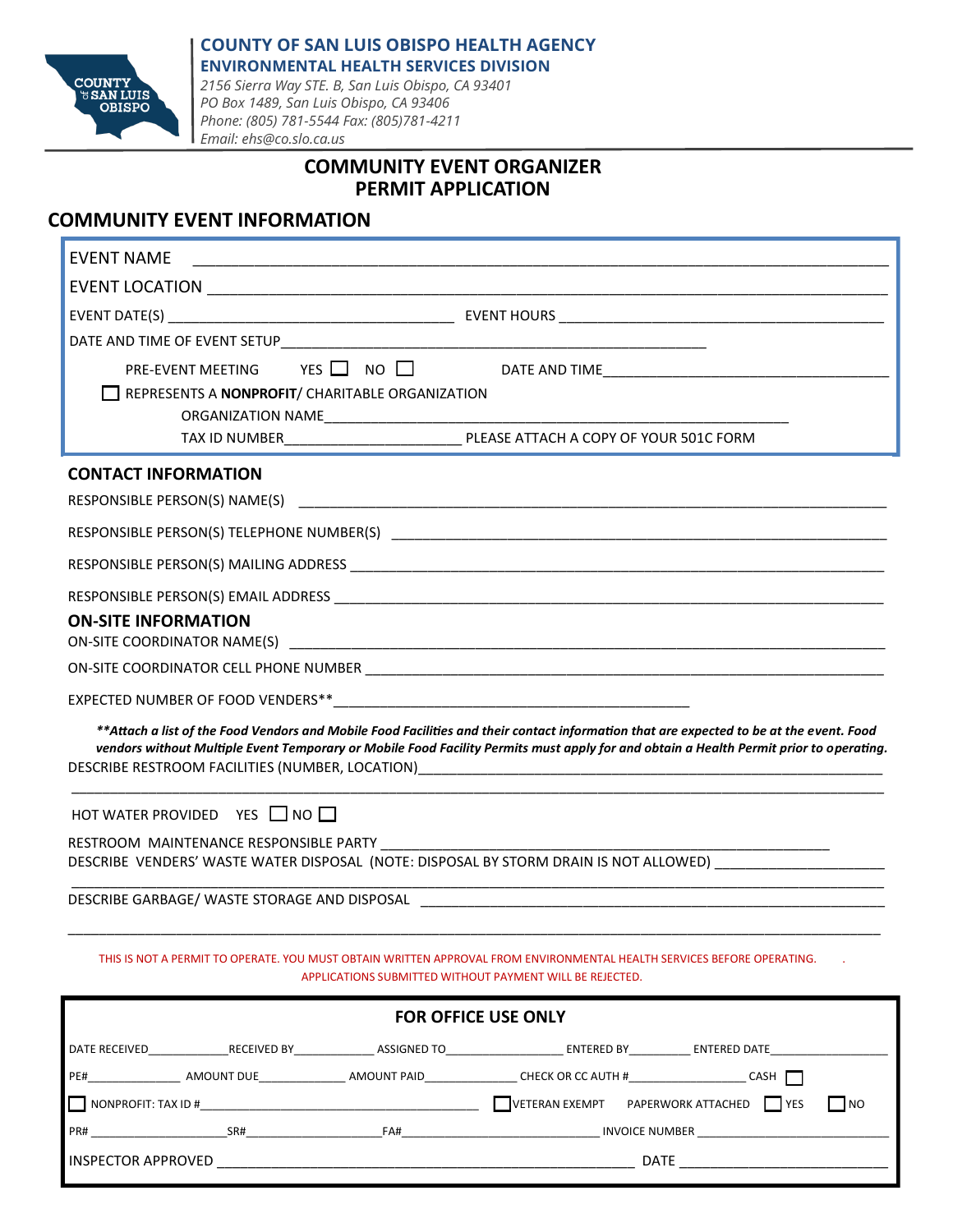

### **COUNTY OF SAN LUIS OBISPO HEALTH AGENCY ENVIRONMENTAL HEALTH SERVICES DIVISION**

*2156 Sierra Way STE. B, San Luis Obispo, CA 93401 PO Box 1489, San Luis Obispo, CA 93406 Phone: (805) 781-5544 Fax: (805)781-4211 Email: ehs@co.slo.ca.us*

### **COMMUNITY EVENT ORGANIZER PERMIT APPLICATION**

### **COMMUNITY EVENT INFORMATION**

| <b>EVENT NAME</b>                                                                                                                                                                                                                                                                 |  |  |  |
|-----------------------------------------------------------------------------------------------------------------------------------------------------------------------------------------------------------------------------------------------------------------------------------|--|--|--|
|                                                                                                                                                                                                                                                                                   |  |  |  |
|                                                                                                                                                                                                                                                                                   |  |  |  |
|                                                                                                                                                                                                                                                                                   |  |  |  |
|                                                                                                                                                                                                                                                                                   |  |  |  |
| REPRESENTS A NONPROFIT/ CHARITABLE ORGANIZATION                                                                                                                                                                                                                                   |  |  |  |
|                                                                                                                                                                                                                                                                                   |  |  |  |
|                                                                                                                                                                                                                                                                                   |  |  |  |
| <b>CONTACT INFORMATION</b>                                                                                                                                                                                                                                                        |  |  |  |
|                                                                                                                                                                                                                                                                                   |  |  |  |
|                                                                                                                                                                                                                                                                                   |  |  |  |
|                                                                                                                                                                                                                                                                                   |  |  |  |
|                                                                                                                                                                                                                                                                                   |  |  |  |
| <b>ON-SITE INFORMATION</b>                                                                                                                                                                                                                                                        |  |  |  |
|                                                                                                                                                                                                                                                                                   |  |  |  |
|                                                                                                                                                                                                                                                                                   |  |  |  |
| **Attach a list of the Food Vendors and Mobile Food Facilities and their contact information that are expected to be at the event. Food<br>vendors without Multiple Event Temporary or Mobile Food Facility Permits must apply for and obtain a Health Permit prior to operating. |  |  |  |
| HOT WATER PROVIDED YES NO                                                                                                                                                                                                                                                         |  |  |  |
| RESTROOM MAINTENANCE RESPONSIBLE PARTY                                                                                                                                                                                                                                            |  |  |  |
| DESCRIBE VENDERS' WASTE WATER DISPOSAL (NOTE: DISPOSAL BY STORM DRAIN IS NOT ALLOWED)                                                                                                                                                                                             |  |  |  |
|                                                                                                                                                                                                                                                                                   |  |  |  |
| THIS IS NOT A PERMIT TO OPERATE. YOU MUST OBTAIN WRITTEN APPROVAL FROM ENVIRONMENTAL HEALTH SERVICES BEFORE OPERATING.<br>APPLICATIONS SUBMITTED WITHOUT PAYMENT WILL BE REJECTED.                                                                                                |  |  |  |
| <b>FOR OFFICE USE ONLY</b>                                                                                                                                                                                                                                                        |  |  |  |
| DATE RECEIVED_______________RECEIVED BY________________ASSIGNED TO________________________________ENTERED BY_____________ENTERED DATE__                                                                                                                                           |  |  |  |
|                                                                                                                                                                                                                                                                                   |  |  |  |
| VETERAN EXEMPT    PAPERWORK ATTACHED    YES<br>    NONPROFIT: TAX ID #<br><b>NO</b>                                                                                                                                                                                               |  |  |  |

PR# PR# SR# SR# SR# FA# FA# AND SAND SR# INVOICE NUMBER

INSPECTOR APPROVED \_\_\_\_\_\_\_\_\_\_\_\_\_\_\_\_\_\_\_\_\_\_\_\_\_\_\_\_\_\_\_\_\_\_\_\_\_\_\_\_\_\_\_\_\_\_\_\_\_\_\_\_\_\_ DATE \_\_\_\_\_\_\_\_\_\_\_\_\_\_\_\_\_\_\_\_\_\_\_\_\_\_\_